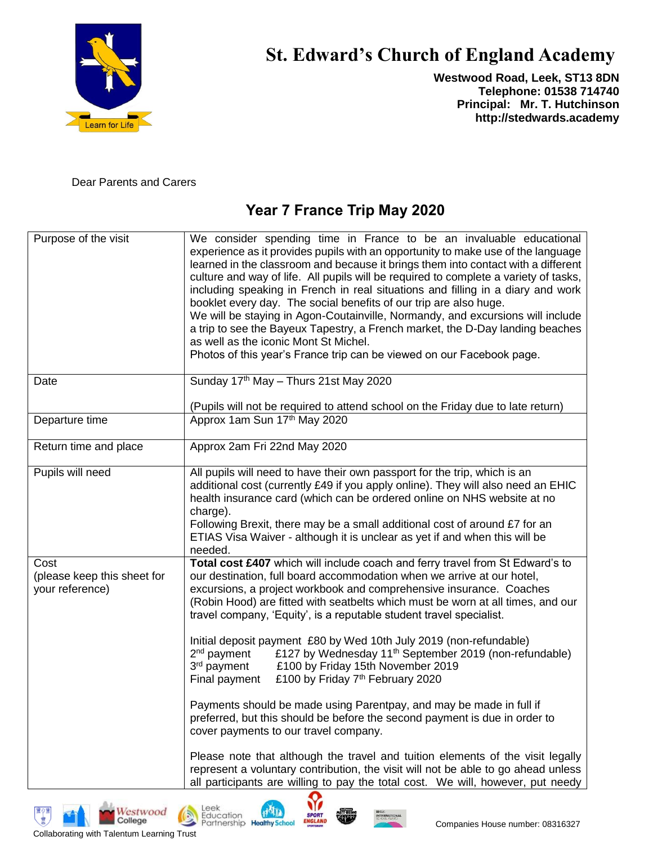

# **St. Edward's Church of England Academy**

**Westwood Road, Leek, ST13 8DN Telephone: 01538 714740 Principal: Mr. T. Hutchinson http://stedwards.academy**

Dear Parents and Carers

## **Year 7 France Trip May 2020**

| Purpose of the visit                                   | We consider spending time in France to be an invaluable educational<br>experience as it provides pupils with an opportunity to make use of the language<br>learned in the classroom and because it brings them into contact with a different<br>culture and way of life. All pupils will be required to complete a variety of tasks,<br>including speaking in French in real situations and filling in a diary and work<br>booklet every day. The social benefits of our trip are also huge.<br>We will be staying in Agon-Coutainville, Normandy, and excursions will include<br>a trip to see the Bayeux Tapestry, a French market, the D-Day landing beaches<br>as well as the iconic Mont St Michel.<br>Photos of this year's France trip can be viewed on our Facebook page.                                                                                        |
|--------------------------------------------------------|--------------------------------------------------------------------------------------------------------------------------------------------------------------------------------------------------------------------------------------------------------------------------------------------------------------------------------------------------------------------------------------------------------------------------------------------------------------------------------------------------------------------------------------------------------------------------------------------------------------------------------------------------------------------------------------------------------------------------------------------------------------------------------------------------------------------------------------------------------------------------|
| Date                                                   | Sunday 17th May - Thurs 21st May 2020                                                                                                                                                                                                                                                                                                                                                                                                                                                                                                                                                                                                                                                                                                                                                                                                                                    |
|                                                        | (Pupils will not be required to attend school on the Friday due to late return)                                                                                                                                                                                                                                                                                                                                                                                                                                                                                                                                                                                                                                                                                                                                                                                          |
| Departure time                                         | Approx 1am Sun 17th May 2020                                                                                                                                                                                                                                                                                                                                                                                                                                                                                                                                                                                                                                                                                                                                                                                                                                             |
| Return time and place                                  | Approx 2am Fri 22nd May 2020                                                                                                                                                                                                                                                                                                                                                                                                                                                                                                                                                                                                                                                                                                                                                                                                                                             |
| Pupils will need                                       | All pupils will need to have their own passport for the trip, which is an<br>additional cost (currently £49 if you apply online). They will also need an EHIC<br>health insurance card (which can be ordered online on NHS website at no<br>charge).<br>Following Brexit, there may be a small additional cost of around £7 for an<br>ETIAS Visa Waiver - although it is unclear as yet if and when this will be<br>needed.                                                                                                                                                                                                                                                                                                                                                                                                                                              |
| Cost<br>(please keep this sheet for<br>your reference) | Total cost £407 which will include coach and ferry travel from St Edward's to<br>our destination, full board accommodation when we arrive at our hotel,<br>excursions, a project workbook and comprehensive insurance. Coaches<br>(Robin Hood) are fitted with seatbelts which must be worn at all times, and our<br>travel company, 'Equity', is a reputable student travel specialist.<br>Initial deposit payment £80 by Wed 10th July 2019 (non-refundable)<br>$2nd$ payment<br>£127 by Wednesday 11 <sup>th</sup> September 2019 (non-refundable)<br>3rd payment<br>£100 by Friday 15th November 2019<br>£100 by Friday 7 <sup>th</sup> February 2020<br>Final payment<br>Payments should be made using Parentpay, and may be made in full if<br>preferred, but this should be before the second payment is due in order to<br>cover payments to our travel company. |
|                                                        | Please note that although the travel and tuition elements of the visit legally<br>represent a voluntary contribution, the visit will not be able to go ahead unless<br>all participants are willing to pay the total cost. We will, however, put needy                                                                                                                                                                                                                                                                                                                                                                                                                                                                                                                                                                                                                   |

虚

Westwood